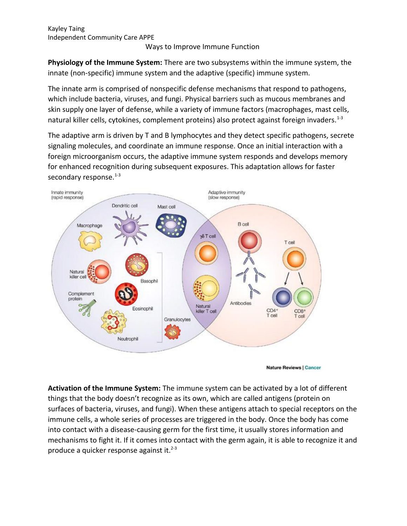### Ways to Improve Immune Function

**Physiology of the Immune System:** There are two subsystems within the immune system, the innate (non-specific) immune system and the adaptive (specific) immune system.

The innate arm is comprised of nonspecific defense mechanisms that respond to pathogens, which include bacteria, viruses, and fungi. Physical barriers such as mucous membranes and skin supply one layer of defense, while a variety of immune factors (macrophages, mast cells, natural killer cells, cytokines, complement proteins) also protect against foreign invaders.<sup>1-3</sup>

The adaptive arm is driven by T and B lymphocytes and they detect specific pathogens, secrete signaling molecules, and coordinate an immune response. Once an initial interaction with a foreign microorganism occurs, the adaptive immune system responds and develops memory for enhanced recognition during subsequent exposures. This adaptation allows for faster secondary response.<sup>1-3</sup>



**Nature Reviews | Cancer** 

**Activation of the Immune System:** The immune system can be activated by a lot of different things that the body doesn't recognize as its own, which are called antigens (protein on surfaces of bacteria, viruses, and fungi). When these antigens attach to special receptors on the immune cells, a whole series of processes are triggered in the body. Once the body has come into contact with a disease-causing germ for the first time, it usually stores information and mechanisms to fight it. If it comes into contact with the germ again, it is able to recognize it and produce a quicker response against it. $2-3$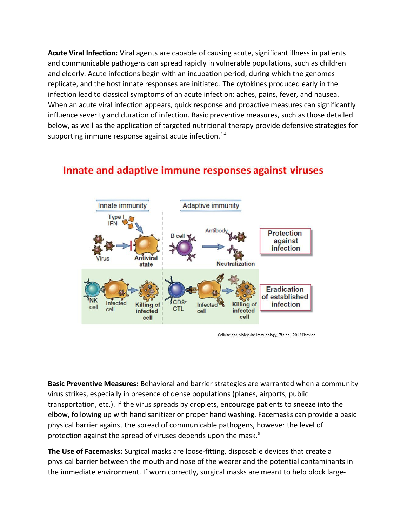**Acute Viral Infection:** Viral agents are capable of causing acute, significant illness in patients and communicable pathogens can spread rapidly in vulnerable populations, such as children and elderly. Acute infections begin with an incubation period, during which the genomes replicate, and the host innate responses are initiated. The cytokines produced early in the infection lead to classical symptoms of an acute infection: aches, pains, fever, and nausea. When an acute viral infection appears, quick response and proactive measures can significantly influence severity and duration of infection. Basic preventive measures, such as those detailed below, as well as the application of targeted nutritional therapy provide defensive strategies for supporting immune response against acute infection. $3-4$ 

## Innate and adaptive immune responses against viruses



Cellular and Molecular Immunology, 7th ed., 2012 Elsevier

**Basic Preventive Measures:** Behavioral and barrier strategies are warranted when a community virus strikes, especially in presence of dense populations (planes, airports, public transportation, etc.). If the virus spreads by droplets, encourage patients to sneeze into the elbow, following up with hand sanitizer or proper hand washing. Facemasks can provide a basic physical barrier against the spread of communicable pathogens, however the level of protection against the spread of viruses depends upon the mask.<sup>9</sup>

**The Use of Facemasks:** Surgical masks are loose-fitting, disposable devices that create a physical barrier between the mouth and nose of the wearer and the potential contaminants in the immediate environment. If worn correctly, surgical masks are meant to help block large-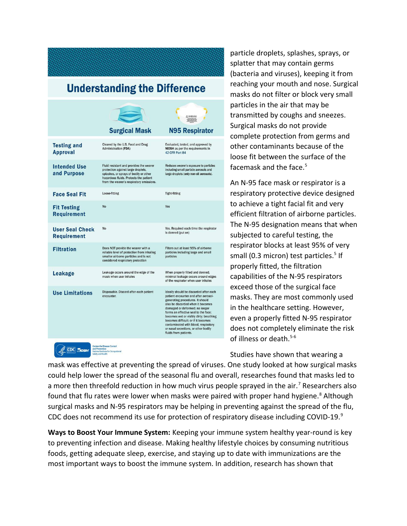# **Understanding the Difference**

|                                                                                                                |                                                                                                                                                                                                               | WARNING<br><b>N95 Respirator</b>                                                                                                                                                                                                                                                                                                                                                                                             |
|----------------------------------------------------------------------------------------------------------------|---------------------------------------------------------------------------------------------------------------------------------------------------------------------------------------------------------------|------------------------------------------------------------------------------------------------------------------------------------------------------------------------------------------------------------------------------------------------------------------------------------------------------------------------------------------------------------------------------------------------------------------------------|
|                                                                                                                | <b>Surgical Mask</b>                                                                                                                                                                                          |                                                                                                                                                                                                                                                                                                                                                                                                                              |
| <b>Testing and</b><br><b>Approval</b>                                                                          | Cleared by the U.S. Food and Drug<br><b>Administration (FDA)</b>                                                                                                                                              | Evaluated, tested, and approved by<br>NIOSH as per the requirements in<br>42 CFR Part 84                                                                                                                                                                                                                                                                                                                                     |
| <b>Intended Use</b><br>and Purpose                                                                             | Fluid resistant and provides the wearer<br>protection against large droplets,<br>splashes, or sprays of bodily or other<br>hazardous fluids. Protects the patient<br>from the wearer's respiratory emissions. | Reduces wearer's exposure to particles<br>including small particle aerosols and<br>large droplets (only non-oil aerosols).                                                                                                                                                                                                                                                                                                   |
| <b>Face Seal Fit</b>                                                                                           | Loose-fitting                                                                                                                                                                                                 | <b>Tight-fitting</b>                                                                                                                                                                                                                                                                                                                                                                                                         |
| <b>Fit Testing</b><br><b>Requirement</b>                                                                       | <b>No</b>                                                                                                                                                                                                     | Yes                                                                                                                                                                                                                                                                                                                                                                                                                          |
| <b>User Seal Check</b><br><b>Requirement</b>                                                                   | No                                                                                                                                                                                                            | Yes. Required each time the respirator<br>is donned (put on)                                                                                                                                                                                                                                                                                                                                                                 |
| <b>Filtration</b>                                                                                              | Does NOT provide the wearer with a<br>reliable level of protection from inhaling<br>smaller airborne particles and is not<br>considered respiratory protection                                                | Filters out at least 95% of airborne<br>particles including large and small<br>particles                                                                                                                                                                                                                                                                                                                                     |
| <b>Leakage</b>                                                                                                 | Leakage occurs around the edge of the<br>mask when user inhales                                                                                                                                               | When properly fitted and donned,<br>minimal leakage occurs around edges<br>of the respirator when user inhales                                                                                                                                                                                                                                                                                                               |
| <b>Use Limitations</b>                                                                                         | Disposable. Discard after each patient<br>encounter.                                                                                                                                                          | Ideally should be discarded after each<br>patient encounter and after aerosol-<br>generating procedures. It should<br>also be discarded when it becomes<br>damaged or deformed; no longer<br>forms an effective seal to the face;<br>becomes wet or visibly dirty; breathing<br>becomes difficult; or if it becomes<br>contaminated with blood, respiratory<br>or nasal secretions, or other bodily<br>fluids from patients. |
| <b>Centers for Disease Control</b><br><b>CDC</b> MOSH<br>and Prevention<br>National Institute for Occupational |                                                                                                                                                                                                               |                                                                                                                                                                                                                                                                                                                                                                                                                              |

particle droplets, splashes, sprays, or splatter that may contain germs (bacteria and viruses), keeping it from reaching your mouth and nose. Surgical masks do not filter or block very small particles in the air that may be transmitted by coughs and sneezes. Surgical masks do not provide complete protection from germs and other contaminants because of the loose fit between the surface of the facemask and the face. $5$ 

An N-95 face mask or respirator is a respiratory protective device designed to achieve a tight facial fit and very efficient filtration of airborne particles. The N-95 designation means that when subjected to careful testing, the respirator blocks at least 95% of very small (0.3 micron) test particles.<sup>5</sup> If properly fitted, the filtration capabilities of the N-95 respirators exceed those of the surgical face masks. They are most commonly used in the healthcare setting. However, even a properly fitted N-95 respirator does not completely eliminate the risk of illness or death. $5-6$ 

Studies have shown that wearing a

mask was effective at preventing the spread of viruses. One study looked at how surgical masks could help lower the spread of the seasonal flu and overall, researches found that masks led to a more then threefold reduction in how much virus people sprayed in the air.<sup>7</sup> Researchers also found that flu rates were lower when masks were paired with proper hand hygiene.<sup>8</sup> Although surgical masks and N-95 respirators may be helping in preventing against the spread of the flu, CDC does not recommend its use for protection of respiratory disease including COVID-19.<sup>9</sup>

**Ways to Boost Your Immune System:** Keeping your immune system healthy year-round is key to preventing infection and disease. Making healthy lifestyle choices by consuming nutritious foods, getting adequate sleep, exercise, and staying up to date with immunizations are the most important ways to boost the immune system. In addition, research has shown that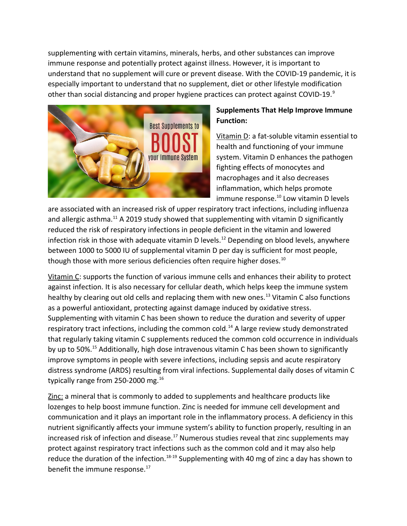supplementing with certain vitamins, minerals, herbs, and other substances can improve immune response and potentially protect against illness. However, it is important to understand that no supplement will cure or prevent disease. With the COVID-19 pandemic, it is especially important to understand that no supplement, diet or other lifestyle modification other than social distancing and proper hygiene practices can protect against COVID-19. $^9$ 



### **Supplements That Help Improve Immune Function:**

Vitamin D: a fat-soluble vitamin essential to health and functioning of your immune system. Vitamin D enhances the pathogen fighting effects of monocytes and macrophages and it also decreases inflammation, which helps promote immune response. $^{10}$  Low vitamin D levels

are associated with an increased risk of upper respiratory tract infections, including influenza and allergic asthma.<sup>11</sup> A 2019 study showed that supplementing with vitamin D significantly reduced the risk of respiratory infections in people deficient in the vitamin and lowered infection risk in those with adequate vitamin D levels.<sup>12</sup> Depending on blood levels, anywhere between 1000 to 5000 IU of supplemental vitamin D per day is sufficient for most people, though those with more serious deficiencies often require higher doses.<sup>10</sup>

Vitamin C: supports the function of various immune cells and enhances their ability to protect against infection. It is also necessary for cellular death, which helps keep the immune system healthy by clearing out old cells and replacing them with new ones.<sup>13</sup> Vitamin C also functions as a powerful antioxidant, protecting against damage induced by oxidative stress. Supplementing with vitamin C has been shown to reduce the duration and severity of upper respiratory tract infections, including the common cold.<sup>14</sup> A large review study demonstrated that regularly taking vitamin C supplements reduced the common cold occurrence in individuals by up to 50%.<sup>15</sup> Additionally, high dose intravenous vitamin C has been shown to significantly improve symptoms in people with severe infections, including sepsis and acute respiratory distress syndrome (ARDS) resulting from viral infections. Supplemental daily doses of vitamin C typically range from 250-2000 mg.<sup>16</sup>

Zinc: a mineral that is commonly to added to supplements and healthcare products like lozenges to help boost immune function. Zinc is needed for immune cell development and communication and it plays an important role in the inflammatory process. A deficiency in this nutrient significantly affects your immune system's ability to function properly, resulting in an increased risk of infection and disease.<sup>17</sup> Numerous studies reveal that zinc supplements may protect against respiratory tract infections such as the common cold and it may also help reduce the duration of the infection.<sup>18-19</sup> Supplementing with 40 mg of zinc a day has shown to benefit the immune response.<sup>17</sup>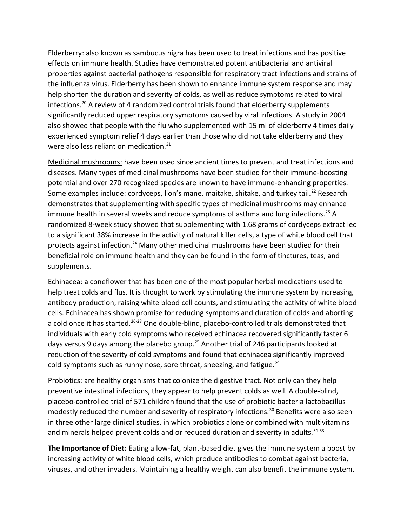Elderberry: also known as sambucus nigra has been used to treat infections and has positive effects on immune health. Studies have demonstrated potent antibacterial and antiviral properties against bacterial pathogens responsible for respiratory tract infections and strains of the influenza virus. Elderberry has been shown to enhance immune system response and may help shorten the duration and severity of colds, as well as reduce symptoms related to viral infections.<sup>20</sup> A review of 4 randomized control trials found that elderberry supplements significantly reduced upper respiratory symptoms caused by viral infections. A study in 2004 also showed that people with the flu who supplemented with 15 ml of elderberry 4 times daily experienced symptom relief 4 days earlier than those who did not take elderberry and they were also less reliant on medication.<sup>21</sup>

Medicinal mushrooms: have been used since ancient times to prevent and treat infections and diseases. Many types of medicinal mushrooms have been studied for their immune-boosting potential and over 270 recognized species are known to have immune-enhancing properties. Some examples include: cordyceps, lion's mane, maitake, shitake, and turkey tail.<sup>22</sup> Research demonstrates that supplementing with specific types of medicinal mushrooms may enhance immune health in several weeks and reduce symptoms of asthma and lung infections.<sup>23</sup> A randomized 8-week study showed that supplementing with 1.68 grams of cordyceps extract led to a significant 38% increase in the activity of natural killer cells, a type of white blood cell that protects against infection.<sup>24</sup> Many other medicinal mushrooms have been studied for their beneficial role on immune health and they can be found in the form of tinctures, teas, and supplements.

Echinacea: a coneflower that has been one of the most popular herbal medications used to help treat colds and flus. It is thought to work by stimulating the immune system by increasing antibody production, raising white blood cell counts, and stimulating the activity of white blood cells. Echinacea has shown promise for reducing symptoms and duration of colds and aborting a cold once it has started.<sup>26-28</sup> One double-blind, placebo-controlled trials demonstrated that individuals with early cold symptoms who received echinacea recovered significantly faster 6 days versus 9 days among the placebo group.<sup>25</sup> Another trial of 246 participants looked at reduction of the severity of cold symptoms and found that echinacea significantly improved cold symptoms such as runny nose, sore throat, sneezing, and fatigue.<sup>29</sup>

Probiotics: are healthy organisms that colonize the digestive tract. Not only can they help preventive intestinal infections, they appear to help prevent colds as well. A double-blind, placebo-controlled trial of 571 children found that the use of probiotic bacteria lactobacillus modestly reduced the number and severity of respiratory infections.<sup>30</sup> Benefits were also seen in three other large clinical studies, in which probiotics alone or combined with multivitamins and minerals helped prevent colds and or reduced duration and severity in adults.<sup>31-33</sup>

**The Importance of Diet:** Eating a low-fat, plant-based diet gives the immune system a boost by increasing activity of white blood cells, which produce antibodies to combat against bacteria, viruses, and other invaders. Maintaining a healthy weight can also benefit the immune system,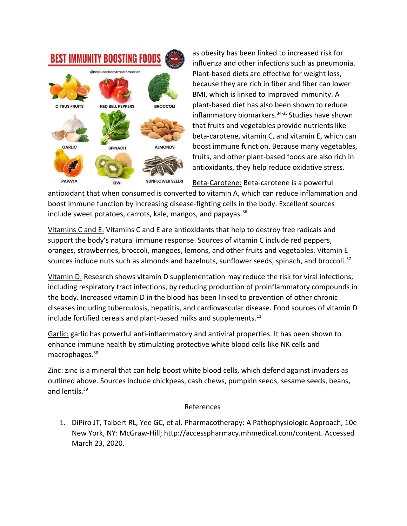

as obesity has been linked to increased risk for influenza and other infections such as pneumonia. Plant-based diets are effective for weight loss, because they are rich in fiber and fiber can lower BMI, which is linked to improved immunity. A plant-based diet has also been shown to reduce inflammatory biomarkers.<sup>34-35</sup> Studies have shown that fruits and vegetables provide nutrients like beta-carotene, vitamin C, and vitamin E, which can boost immune function. Because many vegetables, fruits, and other plant-based foods are also rich in antioxidants, they help reduce oxidative stress.

Beta-Carotene: Beta-carotene is a powerful

antioxidant that when consumed is converted to vitamin A, which can reduce inflammation and boost immune function by increasing disease-fighting cells in the body. Excellent sources include sweet potatoes, carrots, kale, mangos, and papayas. $36$ 

Vitamins C and E: Vitamins C and E are antioxidants that help to destroy free radicals and support the body's natural immune response. Sources of vitamin C include red peppers, oranges, strawberries, broccoli, mangoes, lemons, and other fruits and vegetables. Vitamin E sources include nuts such as almonds and hazelnuts, sunflower seeds, spinach, and broccoli. $37$ 

Vitamin D: Research shows vitamin D supplementation may reduce the risk for viral infections, including respiratory tract infections, by reducing production of proinflammatory compounds in the body. Increased vitamin D in the blood has been linked to prevention of other chronic diseases including tuberculosis, hepatitis, and cardiovascular disease. Food sources of vitamin D include fortified cereals and plant-based milks and supplements. $11$ 

Garlic: garlic has powerful anti-inflammatory and antiviral properties. It has been shown to enhance immune health by stimulating protective white blood cells like NK cells and macrophages.<sup>38</sup>

Zinc: zinc is a mineral that can help boost white blood cells, which defend against invaders as outlined above. Sources include chickpeas, cash chews, pumpkin seeds, sesame seeds, beans, and lentils.<sup>39</sup>

#### References

1. DiPiro JT, Talbert RL, Yee GC, et al. Pharmacotherapy: A Pathophysiologic Approach, 10e New York, NY: McGraw-Hill; http://accesspharmacy.mhmedical.com/content. Accessed March 23, 2020.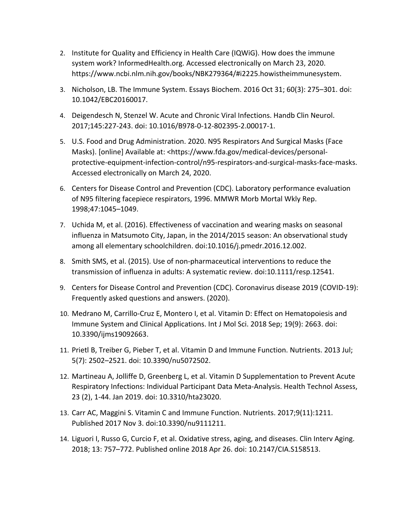- 2. Institute for Quality and Efficiency in Health Care (IQWiG). How does the immune system work? InformedHealth.org. Accessed electronically on March 23, 2020. https://www.ncbi.nlm.nih.gov/books/NBK279364/#i2225.howistheimmunesystem.
- 3. Nicholson, LB. The Immune System. Essays Biochem. 2016 Oct 31; 60(3): 275–301. doi: 10.1042/EBC20160017.
- 4. Deigendesch N, Stenzel W. Acute and Chronic Viral Infections. Handb Clin Neurol. 2017;145:227-243. doi: 10.1016/B978-0-12-802395-2.00017-1.
- 5. U.S. Food and Drug Administration. 2020. N95 Respirators And Surgical Masks (Face Masks). [online] Available at: <https://www.fda.gov/medical-devices/personalprotective-equipment-infection-control/n95-respirators-and-surgical-masks-face-masks. Accessed electronically on March 24, 2020.
- 6. Centers for Disease Control and Prevention (CDC). Laboratory performance evaluation of N95 filtering facepiece respirators, 1996. MMWR Morb Mortal Wkly Rep. 1998;47:1045–1049.
- 7. Uchida M, et al. (2016). Effectiveness of vaccination and wearing masks on seasonal influenza in Matsumoto City, Japan, in the 2014/2015 season: An observational study among all elementary schoolchildren. doi:10.1016/j.pmedr.2016.12.002.
- 8. Smith SMS, et al. (2015). Use of non-pharmaceutical interventions to reduce the transmission of influenza in adults: A systematic review. doi:10.1111/resp.12541.
- 9. Centers for Disease Control and Prevention (CDC). Coronavirus disease 2019 (COVID-19): Frequently asked questions and answers. (2020).
- 10. Medrano M, Carrillo-Cruz E, Montero I, et al. Vitamin D: Effect on Hematopoiesis and Immune System and Clinical Applications. Int J Mol Sci. 2018 Sep; 19(9): 2663. doi: 10.3390/ijms19092663.
- 11. Prietl B, Treiber G, Pieber T, et al. Vitamin D and Immune Function. Nutrients. 2013 Jul; 5(7): 2502–2521. doi: 10.3390/nu5072502.
- 12. Martineau A, Jolliffe D, Greenberg L, et al. Vitamin D Supplementation to Prevent Acute Respiratory Infections: Individual Participant Data Meta-Analysis. Health Technol Assess, 23 (2), 1-44. Jan 2019. doi: 10.3310/hta23020.
- 13. Carr AC, Maggini S. Vitamin C and Immune Function. Nutrients. 2017;9(11):1211. Published 2017 Nov 3. doi:10.3390/nu9111211.
- 14. Liguori I, Russo G, Curcio F, et al. Oxidative stress, aging, and diseases. Clin Interv Aging. 2018; 13: 757–772. Published online 2018 Apr 26. doi: 10.2147/CIA.S158513.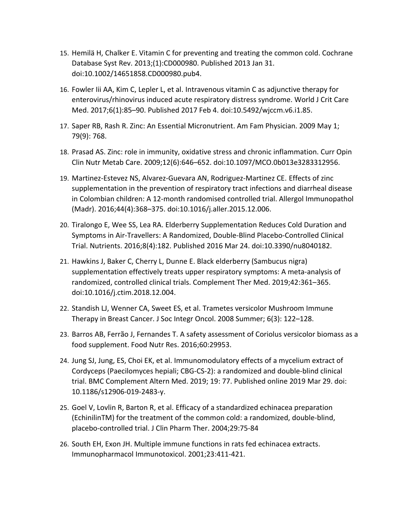- 15. Hemilä H, Chalker E. Vitamin C for preventing and treating the common cold. Cochrane Database Syst Rev. 2013;(1):CD000980. Published 2013 Jan 31. doi:10.1002/14651858.CD000980.pub4.
- 16. Fowler Iii AA, Kim C, Lepler L, et al. Intravenous vitamin C as adjunctive therapy for enterovirus/rhinovirus induced acute respiratory distress syndrome. World J Crit Care Med. 2017;6(1):85–90. Published 2017 Feb 4. doi:10.5492/wjccm.v6.i1.85.
- 17. Saper RB, Rash R. Zinc: An Essential Micronutrient. Am Fam Physician. 2009 May 1; 79(9): 768.
- 18. Prasad AS. Zinc: role in immunity, oxidative stress and chronic inflammation. Curr Opin Clin Nutr Metab Care. 2009;12(6):646–652. doi:10.1097/MCO.0b013e3283312956.
- 19. Martinez-Estevez NS, Alvarez-Guevara AN, Rodriguez-Martinez CE. Effects of zinc supplementation in the prevention of respiratory tract infections and diarrheal disease in Colombian children: A 12-month randomised controlled trial. Allergol Immunopathol (Madr). 2016;44(4):368–375. doi:10.1016/j.aller.2015.12.006.
- 20. Tiralongo E, Wee SS, Lea RA. Elderberry Supplementation Reduces Cold Duration and Symptoms in Air-Travellers: A Randomized, Double-Blind Placebo-Controlled Clinical Trial. Nutrients. 2016;8(4):182. Published 2016 Mar 24. doi:10.3390/nu8040182.
- 21. Hawkins J, Baker C, Cherry L, Dunne E. Black elderberry (Sambucus nigra) supplementation effectively treats upper respiratory symptoms: A meta-analysis of randomized, controlled clinical trials. Complement Ther Med. 2019;42:361–365. doi:10.1016/j.ctim.2018.12.004.
- 22. Standish LJ, Wenner CA, Sweet ES, et al. Trametes versicolor Mushroom Immune Therapy in Breast Cancer. J Soc Integr Oncol. 2008 Summer; 6(3): 122–128.
- 23. Barros AB, Ferrão J, Fernandes T. A safety assessment of Coriolus versicolor biomass as a food supplement. Food Nutr Res. 2016;60:29953.
- 24. Jung SJ, Jung, ES, Choi EK, et al. Immunomodulatory effects of a mycelium extract of Cordyceps (Paecilomyces hepiali; CBG-CS-2): a randomized and double-blind clinical trial. BMC Complement Altern Med. 2019; 19: 77. Published online 2019 Mar 29. doi: 10.1186/s12906-019-2483-y.
- 25. Goel V, Lovlin R, Barton R, et al. Efficacy of a standardized echinacea preparation (EchinilinTM) for the treatment of the common cold: a randomized, double-blind, placebo-controlled trial. J Clin Pharm Ther. 2004;29:75-84
- 26. South EH, Exon JH. Multiple immune functions in rats fed echinacea extracts. Immunopharmacol Immunotoxicol. 2001;23:411-421.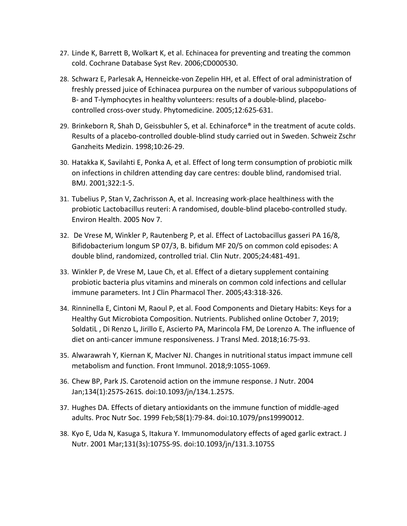- 27. Linde K, Barrett B, Wolkart K, et al. Echinacea for preventing and treating the common cold. Cochrane Database Syst Rev. 2006;CD000530.
- 28. Schwarz E, Parlesak A, Henneicke-von Zepelin HH, et al. Effect of oral administration of freshly pressed juice of Echinacea purpurea on the number of various subpopulations of B- and T-lymphocytes in healthy volunteers: results of a double-blind, placebocontrolled cross-over study. Phytomedicine. 2005;12:625-631.
- 29. Brinkeborn R, Shah D, Geissbuhler S, et al. Echinaforce® in the treatment of acute colds. Results of a placebo-controlled double-blind study carried out in Sweden. Schweiz Zschr Ganzheits Medizin. 1998;10:26-29.
- 30. Hatakka K, Savilahti E, Ponka A, et al. Effect of long term consumption of probiotic milk on infections in children attending day care centres: double blind, randomised trial. BMJ. 2001;322:1-5.
- 31. Tubelius P, Stan V, Zachrisson A, et al. Increasing work-place healthiness with the probiotic Lactobacillus reuteri: A randomised, double-blind placebo-controlled study. Environ Health. 2005 Nov 7.
- 32. De Vrese M, Winkler P, Rautenberg P, et al. Effect of Lactobacillus gasseri PA 16/8, Bifidobacterium longum SP 07/3, B. bifidum MF 20/5 on common cold episodes: A double blind, randomized, controlled trial. Clin Nutr. 2005;24:481-491.
- 33. Winkler P, de Vrese M, Laue Ch, et al. Effect of a dietary supplement containing probiotic bacteria plus vitamins and minerals on common cold infections and cellular immune parameters. Int J Clin Pharmacol Ther. 2005;43:318-326.
- 34. Rinninella E, Cintoni M, Raoul P, et al. Food Components and Dietary Habits: Keys for a Healthy Gut Microbiota Composition. Nutrients. Published online October 7, 2019; SoldatiL , Di Renzo L, Jirillo E, Ascierto PA, Marincola FM, De Lorenzo A. The influence of diet on anti-cancer immune responsiveness. J Transl Med. 2018;16:75-93.
- 35. Alwarawrah Y, Kiernan K, MacIver NJ. Changes in nutritional status impact immune cell metabolism and function. Front Immunol. 2018;9:1055-1069.
- 36. Chew BP, Park JS. Carotenoid action on the immune response. J Nutr. 2004 Jan;134(1):257S-261S. doi:10.1093/jn/134.1.257S.
- 37. Hughes DA. Effects of dietary antioxidants on the immune function of middle-aged adults. Proc Nutr Soc. 1999 Feb;58(1):79-84. doi:10.1079/pns19990012.
- 38. Kyo E, Uda N, Kasuga S, Itakura Y. Immunomodulatory effects of aged garlic extract. J Nutr. 2001 Mar;131(3s):1075S-9S. doi:10.1093/jn/131.3.1075S